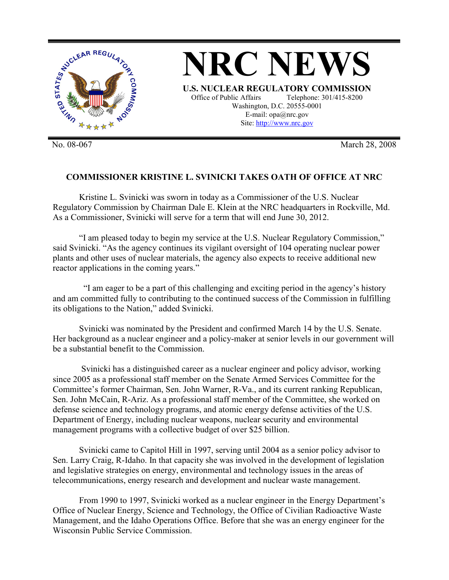

No. 08-067 March 28, 2008

## **COMMISSIONER KRISTINE L. SVINICKI TAKES OATH OF OFFICE AT NRC**

Kristine L. Svinicki was sworn in today as a Commissioner of the U.S. Nuclear Regulatory Commission by Chairman Dale E. Klein at the NRC headquarters in Rockville, Md. As a Commissioner, Svinicki will serve for a term that will end June 30, 2012.

 "I am pleased today to begin my service at the U.S. Nuclear Regulatory Commission," said Svinicki. "As the agency continues its vigilant oversight of 104 operating nuclear power plants and other uses of nuclear materials, the agency also expects to receive additional new reactor applications in the coming years."

 "I am eager to be a part of this challenging and exciting period in the agency's history and am committed fully to contributing to the continued success of the Commission in fulfilling its obligations to the Nation," added Svinicki.

Svinicki was nominated by the President and confirmed March 14 by the U.S. Senate. Her background as a nuclear engineer and a policy-maker at senior levels in our government will be a substantial benefit to the Commission.

 Svinicki has a distinguished career as a nuclear engineer and policy advisor, working since 2005 as a professional staff member on the Senate Armed Services Committee for the Committee's former Chairman, Sen. John Warner, R-Va., and its current ranking Republican, Sen. John McCain, R-Ariz. As a professional staff member of the Committee, she worked on defense science and technology programs, and atomic energy defense activities of the U.S. Department of Energy, including nuclear weapons, nuclear security and environmental management programs with a collective budget of over \$25 billion.

Svinicki came to Capitol Hill in 1997, serving until 2004 as a senior policy advisor to Sen. Larry Craig, R-Idaho. In that capacity she was involved in the development of legislation and legislative strategies on energy, environmental and technology issues in the areas of telecommunications, energy research and development and nuclear waste management.

 From 1990 to 1997, Svinicki worked as a nuclear engineer in the Energy Department's Office of Nuclear Energy, Science and Technology, the Office of Civilian Radioactive Waste Management, and the Idaho Operations Office. Before that she was an energy engineer for the Wisconsin Public Service Commission.